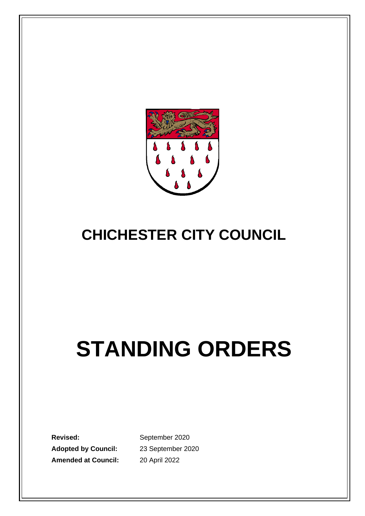

# **CHICHESTER CITY COUNCIL**

# **STANDING ORDERS**

Revised: September 2020 **Adopted by Council:** 23 September 2020 **Amended at Council:** 20 April 2022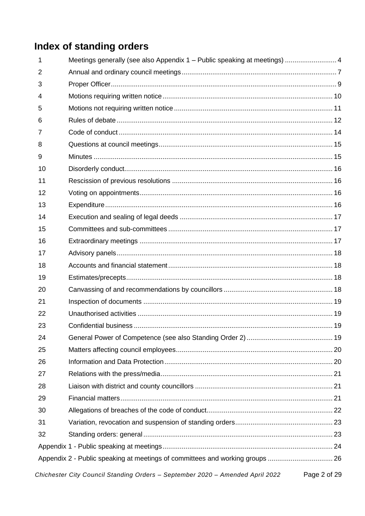## Index of standing orders

| 1              | Meetings generally (see also Appendix 1 – Public speaking at meetings)  4     |              |
|----------------|-------------------------------------------------------------------------------|--------------|
| $\overline{2}$ |                                                                               |              |
| 3              |                                                                               |              |
| 4              |                                                                               |              |
| 5              |                                                                               |              |
| 6              |                                                                               |              |
| 7              |                                                                               |              |
| 8              |                                                                               |              |
| 9              |                                                                               |              |
| 10             |                                                                               |              |
| 11             |                                                                               |              |
| 12             |                                                                               |              |
| 13             |                                                                               |              |
| 14             |                                                                               |              |
| 15             |                                                                               |              |
| 16             |                                                                               |              |
| 17             |                                                                               |              |
| 18             |                                                                               |              |
| 19             |                                                                               |              |
| 20             |                                                                               |              |
| 21             |                                                                               |              |
| 22             |                                                                               |              |
| 23             |                                                                               |              |
| 24             |                                                                               |              |
| 25             |                                                                               |              |
| 26             |                                                                               |              |
| 27             |                                                                               |              |
| 28             |                                                                               |              |
| 29             |                                                                               |              |
| 30             |                                                                               |              |
| 31             |                                                                               |              |
| 32             |                                                                               |              |
|                |                                                                               |              |
|                |                                                                               |              |
|                | Chichester City Council Standing Orders - September 2020 - Amended April 2022 | Page 2 of 29 |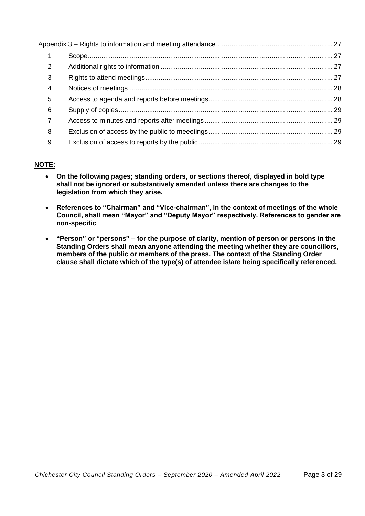| 1              |  |
|----------------|--|
| 2              |  |
| 3              |  |
| 4              |  |
| 5              |  |
| 6              |  |
| $\overline{7}$ |  |
| 8              |  |
| 9              |  |

#### **NOTE:**

- **On the following pages; standing orders, or sections thereof, displayed in bold type shall not be ignored or substantively amended unless there are changes to the legislation from which they arise.**
- **References to "Chairman" and "Vice-chairman", in the context of meetings of the whole Council, shall mean "Mayor" and "Deputy Mayor" respectively. References to gender are non-specific**
- **"Person" or "persons" – for the purpose of clarity, mention of person or persons in the Standing Orders shall mean anyone attending the meeting whether they are councillors, members of the public or members of the press. The context of the Standing Order clause shall dictate which of the type(s) of attendee is/are being specifically referenced.**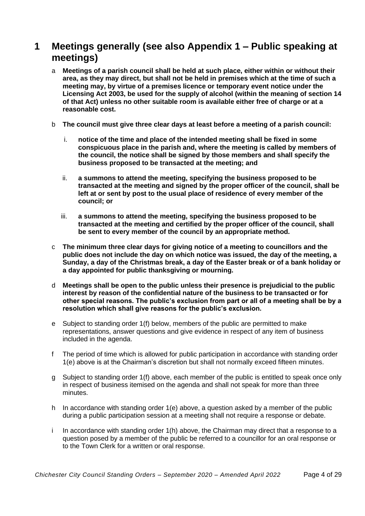#### <span id="page-3-0"></span>**1 Meetings generally (see also Appendix 1 – Public speaking at meetings)**

- a **Meetings of a parish council shall be held at such place, either within or without their area, as they may direct, but shall not be held in premises which at the time of such a meeting may, by virtue of a premises licence or temporary event notice under the Licensing Act 2003, be used for the supply of alcohol (within the meaning of section 14 of that Act) unless no other suitable room is available either free of charge or at a reasonable cost.**
- b **The council must give three clear days at least before a meeting of a parish council:**
	- i. **notice of the time and place of the intended meeting shall be fixed in some conspicuous place in the parish and, where the meeting is called by members of the council, the notice shall be signed by those members and shall specify the business proposed to be transacted at the meeting; and**
	- ii. **a summons to attend the meeting, specifying the business proposed to be transacted at the meeting and signed by the proper officer of the council, shall be left at or sent by post to the usual place of residence of every member of the council; or**
	- iii. **a summons to attend the meeting, specifying the business proposed to be transacted at the meeting and certified by the proper officer of the council, shall be sent to every member of the council by an appropriate method.**
- c **The minimum three clear days for giving notice of a meeting to councillors and the public does not include the day on which notice was issued, the day of the meeting, a Sunday, a day of the Christmas break, a day of the Easter break or of a bank holiday or a day appointed for public thanksgiving or mourning.**
- d **Meetings shall be open to the public unless their presence is prejudicial to the public interest by reason of the confidential nature of the business to be transacted or for other special reasons. The public's exclusion from part or all of a meeting shall be by a resolution which shall give reasons for the public's exclusion.**
- e Subject to standing order 1(f) below, members of the public are permitted to make representations, answer questions and give evidence in respect of any item of business included in the agenda.
- f The period of time which is allowed for public participation in accordance with standing order 1(e) above is at the Chairman's discretion but shall not normally exceed fifteen minutes.
- g Subject to standing order 1(f) above, each member of the public is entitled to speak once only in respect of business itemised on the agenda and shall not speak for more than three minutes.
- h In accordance with standing order 1(e) above, a question asked by a member of the public during a public participation session at a meeting shall not require a response or debate.
- i In accordance with standing order 1(h) above, the Chairman may direct that a response to a question posed by a member of the public be referred to a councillor for an oral response or to the Town Clerk for a written or oral response.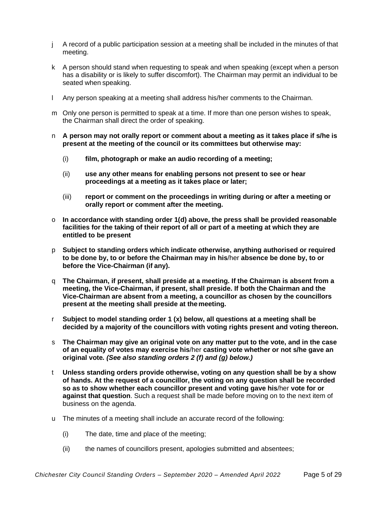- j A record of a public participation session at a meeting shall be included in the minutes of that meeting.
- k A person should stand when requesting to speak and when speaking (except when a person has a disability or is likely to suffer discomfort). The Chairman may permit an individual to be seated when speaking.
- l Any person speaking at a meeting shall address his/her comments to the Chairman.
- m Only one person is permitted to speak at a time. If more than one person wishes to speak, the Chairman shall direct the order of speaking.
- n **A person may not orally report or comment about a meeting as it takes place if s/he is present at the meeting of the council or its committees but otherwise may:**
	- (i) **film, photograph or make an audio recording of a meeting;**
	- (ii) **use any other means for enabling persons not present to see or hear proceedings at a meeting as it takes place or later;**
	- (iii) **report or comment on the proceedings in writing during or after a meeting or orally report or comment after the meeting.**
- o **In accordance with standing order 1(d) above, the press shall be provided reasonable facilities for the taking of their report of all or part of a meeting at which they are entitled to be present**
- p **Subject to standing orders which indicate otherwise, anything authorised or required to be done by, to or before the Chairman may in his**/her **absence be done by, to or before the Vice-Chairman (if any).**
- q **The Chairman, if present, shall preside at a meeting. If the Chairman is absent from a meeting, the Vice-Chairman, if present, shall preside. If both the Chairman and the Vice-Chairman are absent from a meeting, a councillor as chosen by the councillors present at the meeting shall preside at themeeting.**
- r **Subject to model standing order 1 (x) below, all questions at a meeting shall be decided by a majority of the councillors with voting rights present and voting thereon.**
- s **The Chairman may give an original vote on any matter put to the vote, and in the case of an equality of votes may exercise his**/her **casting vote whether or not s/he gave an original vote***. (See also standing orders 2 (f) and (g) below.)*
- t **Unless standing orders provide otherwise, voting on any question shall be by a show of hands. At the request of a councillor, the voting on any question shall be recorded so as to show whether each councillor present and voting gave his**/her **vote for or against that question**. Such a request shall be made before moving on to the next item of business on the agenda.
- u The minutes of a meeting shall include an accurate record of the following:
	- (i) The date, time and place of the meeting;
	- (ii) the names of councillors present, apologies submitted and absentees;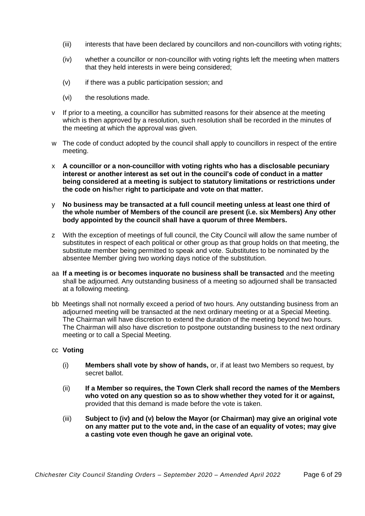- (iii) interests that have been declared by councillors and non-councillors with voting rights;
- (iv) whether a councillor or non-councillor with voting rights left the meeting when matters that they held interests in were being considered;
- (v) if there was a public participation session; and
- (vi) the resolutions made.
- v If prior to a meeting, a councillor has submitted reasons for their absence at the meeting which is then approved by a resolution, such resolution shall be recorded in the minutes of the meeting at which the approval was given.
- w The code of conduct adopted by the council shall apply to councillors in respect of the entire meeting.
- x **A councillor or a non-councillor with voting rights who has a disclosable pecuniary interest or another interest as set out in the council's code of conduct in a matter being considered at a meeting is subject to statutory limitations or restrictions under the code on his**/her **right to participate and vote on that matter.**
- y **No business may be transacted at a full council meeting unless at least one third of the whole number of Members of the council are present (i.e. six Members) Any other body appointed by the council shall have a quorum of three Members.**
- z With the exception of meetings of full council, the City Council will allow the same number of substitutes in respect of each political or other group as that group holds on that meeting, the substitute member being permitted to speak and vote. Substitutes to be nominated by the absentee Member giving two working days notice of the substitution.
- aa **If a meeting is or becomes inquorate no business shall be transacted** and the meeting shall be adjourned. Any outstanding business of a meeting so adjourned shall be transacted at a following meeting.
- bb Meetings shall not normally exceed a period of two hours. Any outstanding business from an adjourned meeting will be transacted at the next ordinary meeting or at a Special Meeting. The Chairman will have discretion to extend the duration of the meeting beyond two hours. The Chairman will also have discretion to postpone outstanding business to the next ordinary meeting or to call a Special Meeting.

#### cc **Voting**

- (i) **Members shall vote by show of hands,** or, if at least two Members so request, by secret ballot.
- (ii) **If a Member so requires, the Town Clerk shall record the names of the Members who voted on any question so as to show whether they voted for it or against,**  provided that this demand is made before the vote is taken.
- (iii) **Subject to (iv) and (v) below the Mayor (or Chairman) may give an original vote on any matter put to the vote and, in the case of an equality of votes; may give a casting vote even though he gave an original vote.**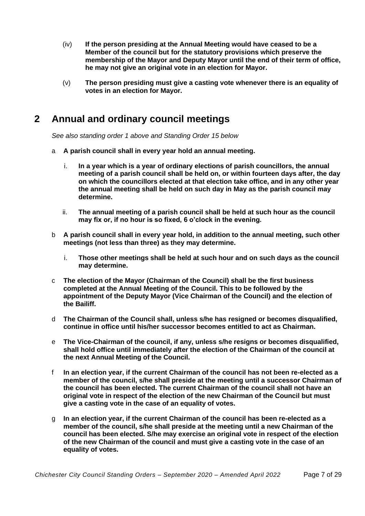- (iv) **If the person presiding at the Annual Meeting would have ceased to be a Member of the council but for the statutory provisions which preserve the membership of the Mayor and Deputy Mayor until the end of their term of office, he may not give an original vote in an election for Mayor.**
- (v) **The person presiding must give a casting vote whenever there is an equality of votes in an election for Mayor.**

#### <span id="page-6-0"></span>**2 Annual and ordinary council meetings**

*See also standing order 1 above and Standing Order 15 below*

- a **A parish council shall in every year hold an annual meeting.**
	- i. **In a year which is a year of ordinary elections of parish councillors, the annual meeting of a parish council shall be held on, or within fourteen days after, the day on which the councillors elected at that election take office, and in any other year the annual meeting shall be held on such day in May as the parish council may determine.**
	- ii. **The annual meeting of a parish council shall be held at such hour as the council may fix or, if no hour is so fixed, 6 o'clock in the evening.**
- b **A parish council shall in every year hold, in addition to the annual meeting, such other meetings (not less than three) as they may determine.**
	- i. **Those other meetings shall be held at such hour and on such days as the council may determine.**
- c **The election of the Mayor (Chairman of the Council) shall be the first business completed at the Annual Meeting of the Council. This to be followed by the appointment of the Deputy Mayor (Vice Chairman of the Council) and the election of the Bailiff.**
- d **The Chairman of the Council shall, unless s/he has resigned or becomes disqualified, continue in office until his/her successor becomes entitled to act as Chairman.**
- e **The Vice-Chairman of the council, if any, unless s/he resigns or becomes disqualified, shall hold office until immediately after the election of the Chairman of the council at the next Annual Meeting of the Council.**
- f **In an election year, if the current Chairman of the council has not been re-elected as a member of the council, s/he shall preside at the meeting until a successor Chairman of the council has been elected. The current Chairman of the council shall not have an original vote in respect of the election of the new Chairman of the Council but must give a casting vote in the case of an equality of votes.**
- g **In an election year, if the current Chairman of the council has been re-elected as a member of the council, s/he shall preside at the meeting until a new Chairman of the council has been elected. S/he may exercise an original vote in respect of the election of the new Chairman of the council and must give a casting vote in the case of an equality of votes.**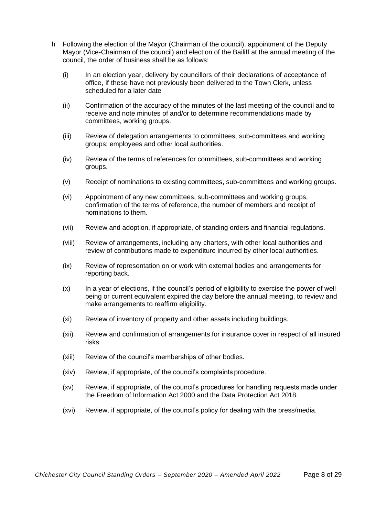- h Following the election of the Mayor (Chairman of the council), appointment of the Deputy Mayor (Vice-Chairman of the council) and election of the Bailiff at the annual meeting of the council, the order of business shall be as follows:
	- (i) In an election year, delivery by councillors of their declarations of acceptance of office, if these have not previously been delivered to the Town Clerk, unless scheduled for a later date
	- (ii) Confirmation of the accuracy of the minutes of the last meeting of the council and to receive and note minutes of and/or to determine recommendations made by committees, working groups.
	- (iii) Review of delegation arrangements to committees, sub-committees and working groups; employees and other local authorities.
	- (iv) Review of the terms of references for committees, sub-committees and working groups.
	- (v) Receipt of nominations to existing committees, sub-committees and working groups.
	- (vi) Appointment of any new committees, sub-committees and working groups, confirmation of the terms of reference, the number of members and receipt of nominations to them.
	- (vii) Review and adoption, if appropriate, of standing orders and financial regulations.
	- (viii) Review of arrangements, including any charters, with other local authorities and review of contributions made to expenditure incurred by other local authorities.
	- (ix) Review of representation on or work with external bodies and arrangements for reporting back.
	- (x) In a year of elections, if the council's period of eligibility to exercise the power of well being or current equivalent expired the day before the annual meeting, to review and make arrangements to reaffirm eligibility.
	- (xi) Review of inventory of property and other assets including buildings.
	- (xii) Review and confirmation of arrangements for insurance cover in respect of all insured risks.
	- (xiii) Review of the council's memberships of other bodies.
	- (xiv) Review, if appropriate, of the council's complaints procedure.
	- (xv) Review, if appropriate, of the council's procedures for handling requests made under the Freedom of Information Act 2000 and the Data Protection Act 2018.
	- (xvi) Review, if appropriate, of the council's policy for dealing with the press/media.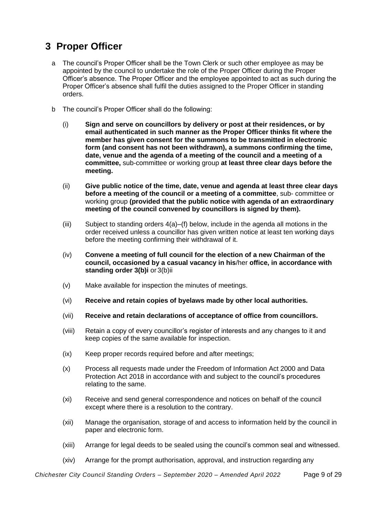## <span id="page-8-0"></span>**3 Proper Officer**

- a The council's Proper Officer shall be the Town Clerk or such other employee as may be appointed by the council to undertake the role of the Proper Officer during the Proper Officer's absence. The Proper Officer and the employee appointed to act as such during the Proper Officer's absence shall fulfil the duties assigned to the Proper Officer in standing orders.
- b The council's Proper Officer shall do the following:
	- (i) **Sign and serve on councillors by delivery or post at their residences, or by email authenticated in such manner as the Proper Officer thinks fit where the member has given consent for the summons to be transmitted in electronic form (and consent has not been withdrawn), a summons confirming the time, date, venue and the agenda of a meeting of the council and a meeting of a committee,** sub-committee or working group **at least three clear days before the meeting.**
	- (ii) **Give public notice of the time, date, venue and agenda at least three clear days before a meeting of the council or a meeting of a committee**, sub- committee or working group **(provided that the public notice with agenda of an extraordinary meeting of the council convened by councillors is signed by them).**
	- (iii) Subject to standing orders 4(a)–(f) below, include in the agenda all motions in the order received unless a councillor has given written notice at least ten working days before the meeting confirming their withdrawal of it.
	- (iv) **Convene a meeting of full council for the election of a new Chairman of the council, occasioned by a casual vacancy in his**/her **office, in accordance with standing order 3(b)i** or 3(b)ii
	- (v) Make available for inspection the minutes of meetings.
	- (vi) **Receive and retain copies of byelaws made by other local authorities.**
	- (vii) **Receive and retain declarations of acceptance of office from councillors.**
	- (viii) Retain a copy of every councillor's register of interests and any changes to it and keep copies of the same available for inspection.
	- (ix) Keep proper records required before and after meetings;
	- (x) Process all requests made under the Freedom of Information Act 2000 and Data Protection Act 2018 in accordance with and subject to the council's procedures relating to the same.
	- (xi) Receive and send general correspondence and notices on behalf of the council except where there is a resolution to the contrary.
	- (xii) Manage the organisation, storage of and access to information held by the council in paper and electronic form.
	- (xiii) Arrange for legal deeds to be sealed using the council's common seal and witnessed.
	- (xiv) Arrange for the prompt authorisation, approval, and instruction regarding any

*Chichester City Council Standing Orders – September 2020 – Amended April 2022* Page 9 of 29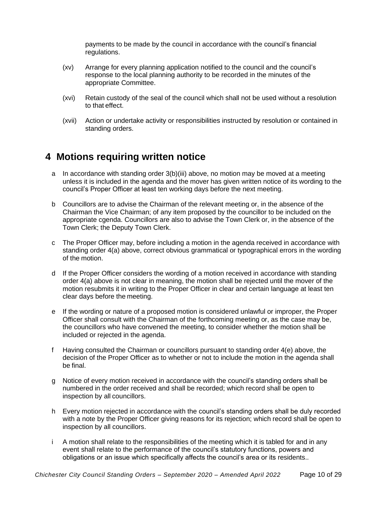payments to be made by the council in accordance with the council's financial regulations.

- (xv) Arrange for every planning application notified to the council and the council's response to the local planning authority to be recorded in the minutes of the appropriate Committee.
- (xvi) Retain custody of the seal of the council which shall not be used without a resolution to that effect.
- (xvii) Action or undertake activity or responsibilities instructed by resolution or contained in standing orders.

#### <span id="page-9-0"></span>**4 Motions requiring written notice**

- a In accordance with standing order 3(b)(iii) above, no motion may be moved at a meeting unless it is included in the agenda and the mover has given written notice of its wording to the council's Proper Officer at least ten working days before the next meeting.
- b Councillors are to advise the Chairman of the relevant meeting or, in the absence of the Chairman the Vice Chairman; of any item proposed by the councillor to be included on the appropriate cgenda. Councillors are also to advise the Town Clerk or, in the absence of the Town Clerk; the Deputy Town Clerk.
- c The Proper Officer may, before including a motion in the agenda received in accordance with standing order 4(a) above, correct obvious grammatical or typographical errors in the wording of the motion.
- d If the Proper Officer considers the wording of a motion received in accordance with standing order 4(a) above is not clear in meaning, the motion shall be rejected until the mover of the motion resubmits it in writing to the Proper Officer in clear and certain language at least ten clear days before the meeting.
- e If the wording or nature of a proposed motion is considered unlawful or improper, the Proper Officer shall consult with the Chairman of the forthcoming meeting or, as the case may be, the councillors who have convened the meeting, to consider whether the motion shall be included or rejected in the agenda.
- f Having consulted the Chairman or councillors pursuant to standing order 4(e) above, the decision of the Proper Officer as to whether or not to include the motion in the agenda shall be final.
- g Notice of every motion received in accordance with the council's standing orders shall be numbered in the order received and shall be recorded; which record shall be open to inspection by all councillors.
- h Every motion rejected in accordance with the council's standing orders shall be duly recorded with a note by the Proper Officer giving reasons for its rejection; which record shall be open to inspection by all councillors.
- i A motion shall relate to the responsibilities of the meeting which it is tabled for and in any event shall relate to the performance of the council's statutory functions, powers and obligations or an issue which specifically affects the council's area or its residents..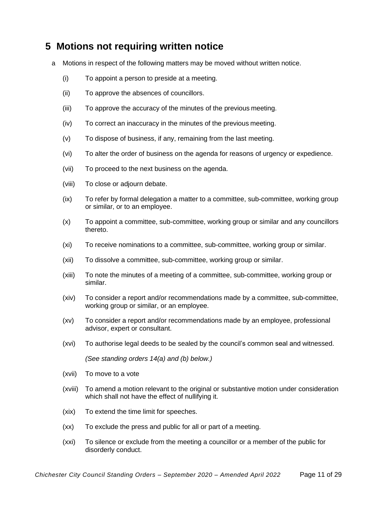#### <span id="page-10-0"></span>**5 Motions not requiring written notice**

- a Motions in respect of the following matters may be moved without written notice.
	- (i) To appoint a person to preside at a meeting.
	- (ii) To approve the absences of councillors.
	- (iii) To approve the accuracy of the minutes of the previous meeting.
	- (iv) To correct an inaccuracy in the minutes of the previous meeting.
	- (v) To dispose of business, if any, remaining from the last meeting.
	- (vi) To alter the order of business on the agenda for reasons of urgency or expedience.
	- (vii) To proceed to the next business on the agenda.
	- (viii) To close or adjourn debate.
	- (ix) To refer by formal delegation a matter to a committee, sub-committee, working group or similar, or to an employee.
	- (x) To appoint a committee, sub-committee, working group or similar and any councillors thereto.
	- (xi) To receive nominations to a committee, sub-committee, working group or similar.
	- (xii) To dissolve a committee, sub-committee, working group or similar.
	- (xiii) To note the minutes of a meeting of a committee, sub-committee, working group or similar.
	- (xiv) To consider a report and/or recommendations made by a committee, sub-committee, working group or similar, or an employee.
	- (xv) To consider a report and/or recommendations made by an employee, professional advisor, expert or consultant.
	- (xvi) To authorise legal deeds to be sealed by the council's common seal and witnessed.

*(See standing orders 14(a) and (b) below.)*

- (xvii) To move to a vote
- (xviii) To amend a motion relevant to the original or substantive motion under consideration which shall not have the effect of nullifying it.
- (xix) To extend the time limit for speeches.
- (xx) To exclude the press and public for all or part of a meeting.
- (xxi) To silence or exclude from the meeting a councillor or a member of the public for disorderly conduct.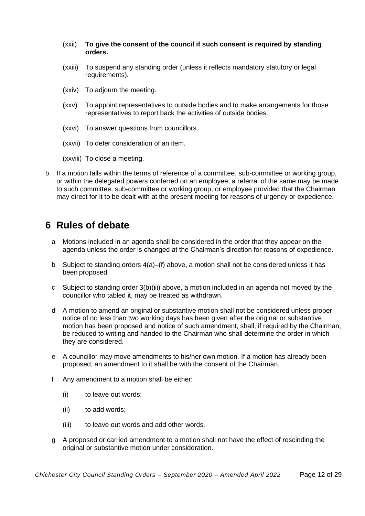- (xxii) **To give the consent of the council if such consent is required by standing orders.**
- (xxiii) To suspend any standing order (unless it reflects mandatory statutory or legal requirements).
- (xxiv) To adjourn the meeting.
- (xxv) To appoint representatives to outside bodies and to make arrangements for those representatives to report back the activities of outside bodies.
- (xxvi) To answer questions from councillors.
- (xxvii) To defer consideration of an item.
- (xxviii) To close a meeting.
- b If a motion falls within the terms of reference of a committee, sub-committee or working group, or within the delegated powers conferred on an employee, a referral of the same may be made to such committee, sub-committee or working group, or employee provided that the Chairman may direct for it to be dealt with at the present meeting for reasons of urgency or expedience.

#### <span id="page-11-0"></span>**6 Rules of debate**

- a Motions included in an agenda shall be considered in the order that they appear on the agenda unless the order is changed at the Chairman's direction for reasons of expedience.
- b Subject to standing orders 4(a)–(f) above, a motion shall not be considered unless it has been proposed.
- c Subject to standing order 3(b)(iii) above, a motion included in an agenda not moved by the councillor who tabled it, may be treated as withdrawn.
- d A motion to amend an original or substantive motion shall not be considered unless proper notice of no less than two working days has been given after the original or substantive motion has been proposed and notice of such amendment, shall, if required by the Chairman, be reduced to writing and handed to the Chairman who shall determine the order in which they are considered.
- e A councillor may move amendments to his/her own motion. If a motion has already been proposed, an amendment to it shall be with the consent of the Chairman.
- f Any amendment to a motion shall be either:
	- (i) to leave out words;
	- (ii) to add words;
	- (iii) to leave out words and add other words.
- g A proposed or carried amendment to a motion shall not have the effect of rescinding the original or substantive motion under consideration.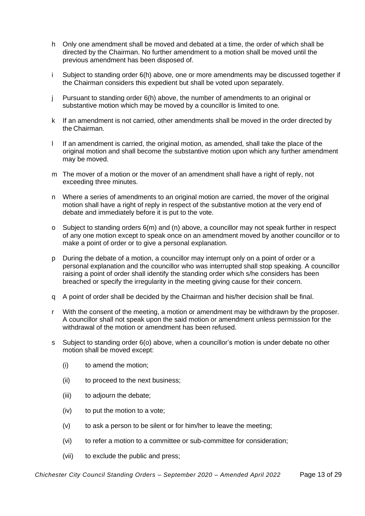- h Only one amendment shall be moved and debated at a time, the order of which shall be directed by the Chairman. No further amendment to a motion shall be moved until the previous amendment has been disposed of.
- i Subject to standing order 6(h) above, one or more amendments may be discussed together if the Chairman considers this expedient but shall be voted upon separately.
- j Pursuant to standing order 6(h) above, the number of amendments to an original or substantive motion which may be moved by a councillor is limited to one.
- k If an amendment is not carried, other amendments shall be moved in the order directed by the Chairman.
- l If an amendment is carried, the original motion, as amended, shall take the place of the original motion and shall become the substantive motion upon which any further amendment may be moved.
- m The mover of a motion or the mover of an amendment shall have a right of reply, not exceeding three minutes.
- n Where a series of amendments to an original motion are carried, the mover of the original motion shall have a right of reply in respect of the substantive motion at the very end of debate and immediately before it is put to the vote.
- o Subject to standing orders 6(m) and (n) above, a councillor may not speak further in respect of any one motion except to speak once on an amendment moved by another councillor or to make a point of order or to give a personal explanation.
- p During the debate of a motion, a councillor may interrupt only on a point of order or a personal explanation and the councillor who was interrupted shall stop speaking. A councillor raising a point of order shall identify the standing order which s/he considers has been breached or specify the irregularity in the meeting giving cause for their concern.
- q A point of order shall be decided by the Chairman and his/her decision shall be final.
- r With the consent of the meeting, a motion or amendment may be withdrawn by the proposer. A councillor shall not speak upon the said motion or amendment unless permission for the withdrawal of the motion or amendment has been refused.
- s Subject to standing order 6(o) above, when a councillor's motion is under debate no other motion shall be moved except:
	- (i) to amend the motion;
	- (ii) to proceed to the next business;
	- (iii) to adjourn the debate;
	- (iv) to put the motion to a vote;
	- (v) to ask a person to be silent or for him/her to leave the meeting;
	- (vi) to refer a motion to a committee or sub-committee for consideration;
	- (vii) to exclude the public and press;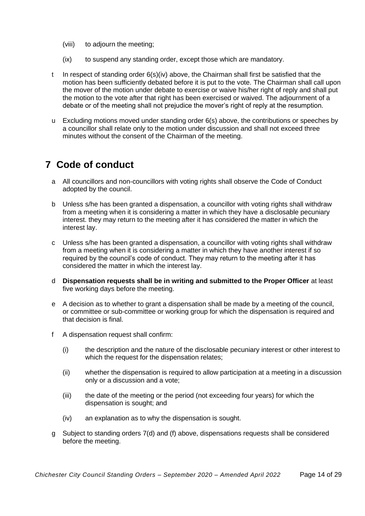- (viii) to adjourn the meeting;
- (ix) to suspend any standing order, except those which are mandatory.
- t In respect of standing order 6(s)(iv) above, the Chairman shall first be satisfied that the motion has been sufficiently debated before it is put to the vote. The Chairman shall call upon the mover of the motion under debate to exercise or waive his/her right of reply and shall put the motion to the vote after that right has been exercised or waived. The adjournment of a debate or of the meeting shall not prejudice the mover's right of reply at the resumption.
- u Excluding motions moved under standing order 6(s) above, the contributions or speeches by a councillor shall relate only to the motion under discussion and shall not exceed three minutes without the consent of the Chairman of the meeting.

#### <span id="page-13-0"></span>**7 Code of conduct**

- a All councillors and non-councillors with voting rights shall observe the Code of Conduct adopted by the council.
- b Unless s/he has been granted a dispensation, a councillor with voting rights shall withdraw from a meeting when it is considering a matter in which they have a disclosable pecuniary interest. they may return to the meeting after it has considered the matter in which the interest lay.
- c Unless s/he has been granted a dispensation, a councillor with voting rights shall withdraw from a meeting when it is considering a matter in which they have another interest if so required by the council's code of conduct. They may return to the meeting after it has considered the matter in which the interest lay.
- d **Dispensation requests shall be in writing and submitted to the Proper Officer** at least five working days before the meeting.
- e A decision as to whether to grant a dispensation shall be made by a meeting of the council, or committee or sub-committee or working group for which the dispensation is required and that decision is final.
- f A dispensation request shall confirm:
	- (i) the description and the nature of the disclosable pecuniary interest or other interest to which the request for the dispensation relates;
	- (ii) whether the dispensation is required to allow participation at a meeting in a discussion only or a discussion and a vote;
	- (iii) the date of the meeting or the period (not exceeding four years) for which the dispensation is sought; and
	- (iv) an explanation as to why the dispensation is sought.
- g Subject to standing orders 7(d) and (f) above, dispensations requests shall be considered before the meeting.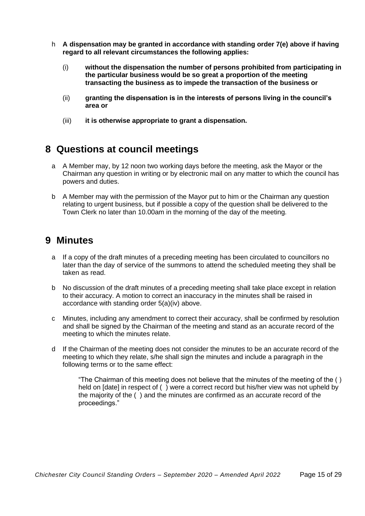- h **A dispensation may be granted in accordance with standing order 7(e) above if having regard to all relevant circumstances the following applies:**
	- (i) **without the dispensation the number of persons prohibited from participating in the particular business would be so great a proportion of the meeting transacting the business as to impede the transaction of the business or**
	- (ii) **granting the dispensation is in the interests of persons living in the council's area or**
	- (iii) **it is otherwise appropriate to grant a dispensation.**

#### <span id="page-14-0"></span>**8 Questions at council meetings**

- a A Member may, by 12 noon two working days before the meeting, ask the Mayor or the Chairman any question in writing or by electronic mail on any matter to which the council has powers and duties.
- b A Member may with the permission of the Mayor put to him or the Chairman any question relating to urgent business, but if possible a copy of the question shall be delivered to the Town Clerk no later than 10.00am in the morning of the day of the meeting.

#### <span id="page-14-1"></span>**9 Minutes**

- a If a copy of the draft minutes of a preceding meeting has been circulated to councillors no later than the day of service of the summons to attend the scheduled meeting they shall be taken as read.
- b No discussion of the draft minutes of a preceding meeting shall take place except in relation to their accuracy. A motion to correct an inaccuracy in the minutes shall be raised in accordance with standing order 5(a)(iv) above.
- c Minutes, including any amendment to correct their accuracy, shall be confirmed by resolution and shall be signed by the Chairman of the meeting and stand as an accurate record of the meeting to which the minutes relate.
- d If the Chairman of the meeting does not consider the minutes to be an accurate record of the meeting to which they relate, s/he shall sign the minutes and include a paragraph in the following terms or to the same effect:

"The Chairman of this meeting does not believe that the minutes of the meeting of the ( ) held on [date] in respect of ( ) were a correct record but his/her view was not upheld by the majority of the ( ) and the minutes are confirmed as an accurate record of the proceedings."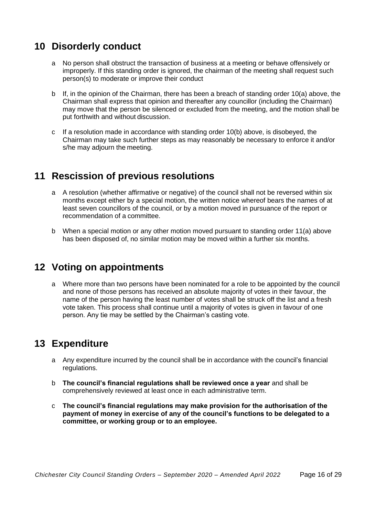## <span id="page-15-0"></span>**10 Disorderly conduct**

- a No person shall obstruct the transaction of business at a meeting or behave offensively or improperly. If this standing order is ignored, the chairman of the meeting shall request such person(s) to moderate or improve their conduct
- b If, in the opinion of the Chairman, there has been a breach of standing order 10(a) above, the Chairman shall express that opinion and thereafter any councillor (including the Chairman) may move that the person be silenced or excluded from the meeting, and the motion shall be put forthwith and without discussion.
- c If a resolution made in accordance with standing order 10(b) above, is disobeyed, the Chairman may take such further steps as may reasonably be necessary to enforce it and/or s/he may adjourn the meeting.

#### <span id="page-15-1"></span>**11 Rescission of previous resolutions**

- a A resolution (whether affirmative or negative) of the council shall not be reversed within six months except either by a special motion, the written notice whereof bears the names of at least seven councillors of the council, or by a motion moved in pursuance of the report or recommendation of a committee.
- b When a special motion or any other motion moved pursuant to standing order 11(a) above has been disposed of, no similar motion may be moved within a further six months.

#### <span id="page-15-2"></span>**12 Voting on appointments**

a Where more than two persons have been nominated for a role to be appointed by the council and none of those persons has received an absolute majority of votes in their favour, the name of the person having the least number of votes shall be struck off the list and a fresh vote taken. This process shall continue until a majority of votes is given in favour of one person. Any tie may be settled by the Chairman's casting vote.

#### <span id="page-15-3"></span>**13 Expenditure**

- a Any expenditure incurred by the council shall be in accordance with the council's financial regulations.
- b **The council's financial regulations shall be reviewed once a year** and shall be comprehensively reviewed at least once in each administrative term.
- c **The council's financial regulations may make provision for the authorisation of the payment of money in exercise of any of the council's functions to be delegated to a committee, or working group or to an employee.**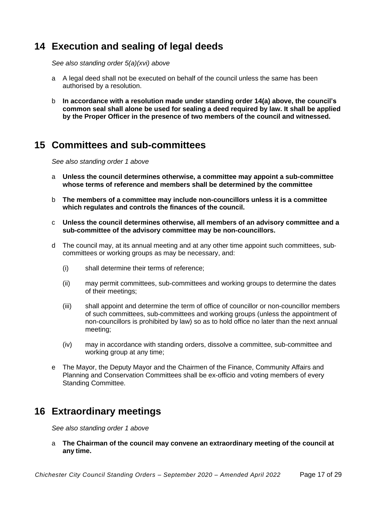## <span id="page-16-0"></span>**14 Execution and sealing of legal deeds**

*See also standing order 5(a)(xvi) above*

- a A legal deed shall not be executed on behalf of the council unless the same has been authorised by a resolution.
- b **In accordance with a resolution made under standing order 14(a) above, the council's common seal shall alone be used for sealing a deed required by law. It shall be applied by the Proper Officer in the presence of two members of the council and witnessed.**

#### <span id="page-16-1"></span>**15 Committees and sub-committees**

*See also standing order 1 above*

- a **Unless the council determines otherwise, a committee may appoint a sub-committee whose terms of reference and members shall be determined by the committee**
- b **The members of a committee may include non-councillors unless it is a committee which regulates and controls the finances of the council.**
- c **Unless the council determines otherwise, all members of an advisory committee and a sub-committee of the advisory committee may be non-councillors.**
- d The council may, at its annual meeting and at any other time appoint such committees, subcommittees or working groups as may be necessary, and:
	- (i) shall determine their terms of reference;
	- (ii) may permit committees, sub-committees and working groups to determine the dates of their meetings;
	- (iii) shall appoint and determine the term of office of councillor or non-councillor members of such committees, sub-committees and working groups (unless the appointment of non-councillors is prohibited by law) so as to hold office no later than the next annual meeting;
	- (iv) may in accordance with standing orders, dissolve a committee, sub-committee and working group at any time;
- e The Mayor, the Deputy Mayor and the Chairmen of the Finance, Community Affairs and Planning and Conservation Committees shall be ex-officio and voting members of every Standing Committee.

#### <span id="page-16-2"></span>**16 Extraordinary meetings**

*See also standing order 1 above*

a **The Chairman of the council may convene an extraordinary meeting of the council at any time.**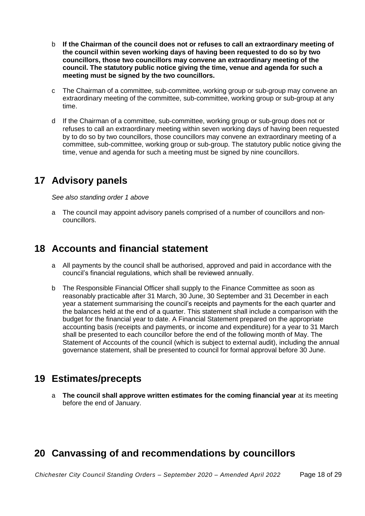- b **If the Chairman of the council does not or refuses to call an extraordinary meeting of the council within seven working days of having been requested to do so by two councillors, those two councillors may convene an extraordinary meeting of the council. The statutory public notice giving the time, venue and agenda for such a meeting must be signed by the two councillors.**
- c The Chairman of a committee, sub-committee, working group or sub-group may convene an extraordinary meeting of the committee, sub-committee, working group or sub-group at any time.
- d If the Chairman of a committee, sub-committee, working group or sub-group does not or refuses to call an extraordinary meeting within seven working days of having been requested by to do so by two councillors, those councillors may convene an extraordinary meeting of a committee, sub-committee, working group or sub-group. The statutory public notice giving the time, venue and agenda for such a meeting must be signed by nine councillors.

#### <span id="page-17-0"></span>**17 Advisory panels**

*See also standing order 1 above*

a The council may appoint advisory panels comprised of a number of councillors and noncouncillors.

#### <span id="page-17-1"></span>**18 Accounts and financial statement**

- a All payments by the council shall be authorised, approved and paid in accordance with the council's financial regulations, which shall be reviewed annually.
- b The Responsible Financial Officer shall supply to the Finance Committee as soon as reasonably practicable after 31 March, 30 June, 30 September and 31 December in each year a statement summarising the council's receipts and payments for the each quarter and the balances held at the end of a quarter. This statement shall include a comparison with the budget for the financial year to date. A Financial Statement prepared on the appropriate accounting basis (receipts and payments, or income and expenditure) for a year to 31 March shall be presented to each councillor before the end of the following month of May. The Statement of Accounts of the council (which is subject to external audit), including the annual governance statement, shall be presented to council for formal approval before 30 June.

#### <span id="page-17-2"></span>**19 Estimates/precepts**

a **The council shall approve written estimates for the coming financial year** at its meeting before the end of January.

## <span id="page-17-3"></span>**20 Canvassing of and recommendations by councillors**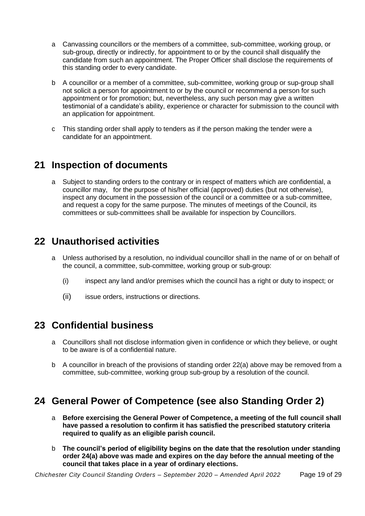- a Canvassing councillors or the members of a committee, sub-committee, working group, or sub-group, directly or indirectly, for appointment to or by the council shall disqualify the candidate from such an appointment. The Proper Officer shall disclose the requirements of this standing order to every candidate.
- b A councillor or a member of a committee, sub-committee, working group or sup-group shall not solicit a person for appointment to or by the council or recommend a person for such appointment or for promotion; but, nevertheless, any such person may give a written testimonial of a candidate's ability, experience or character for submission to the council with an application for appointment.
- c This standing order shall apply to tenders as if the person making the tender were a candidate for an appointment.

#### <span id="page-18-0"></span>**21 Inspection of documents**

a Subject to standing orders to the contrary or in respect of matters which are confidential, a councillor may, for the purpose of his/her official (approved) duties (but not otherwise), inspect any document in the possession of the council or a committee or a sub-committee, and request a copy for the same purpose. The minutes of meetings of the Council, its committees or sub-committees shall be available for inspection by Councillors.

#### <span id="page-18-1"></span>**22 Unauthorised activities**

- a Unless authorised by a resolution, no individual councillor shall in the name of or on behalf of the council, a committee, sub-committee, working group or sub-group:
	- (i) inspect any land and/or premises which the council has a right or duty to inspect; or
	- (ii) issue orders, instructions or directions.

#### <span id="page-18-2"></span>**23 Confidential business**

- a Councillors shall not disclose information given in confidence or which they believe, or ought to be aware is of a confidential nature.
- b A councillor in breach of the provisions of standing order 22(a) above may be removed from a committee, sub-committee, working group sub-group by a resolution of the council.

#### <span id="page-18-3"></span>**24 General Power of Competence (see also Standing Order 2)**

- a **Before exercising the General Power of Competence, a meeting of the full council shall have passed a resolution to confirm it has satisfied the prescribed statutory criteria required to qualify as an eligible parish council.**
- b **The council's period of eligibility begins on the date that the resolution under standing order 24(a) above was made and expires on the day before the annual meeting of the council that takes place in a year of ordinary elections.**

*Chichester City Council Standing Orders – September 2020 – Amended April 2022* Page 19 of 29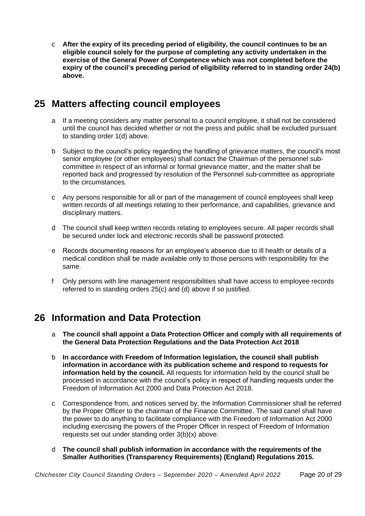c **After the expiry of its preceding period of eligibility, the council continues to be an eligible council solely for the purpose of completing any activity undertaken in the exercise of the General Power of Competence which was not completed before the expiry of the council's preceding period of eligibility referred to in standing order 24(b) above.**

#### <span id="page-19-0"></span>**25 Matters affecting council employees**

- a If a meeting considers any matter personal to a council employee, it shall not be considered until the council has decided whether or not the press and public shall be excluded pursuant to standing order 1(d) above.
- b Subject to the council's policy regarding the handling of grievance matters, the council's most senior employee (or other employees) shall contact the Chairman of the personnel subcommittee in respect of an informal or formal grievance matter, and the matter shall be reported back and progressed by resolution of the Personnel sub-committee as appropriate to the circumstances.
- c Any persons responsible for all or part of the management of council employees shall keep written records of all meetings relating to their performance, and capabilities, grievance and disciplinary matters.
- d The council shall keep written records relating to employees secure. All paper records shall be secured under lock and electronic records shall be password protected.
- e Records documenting reasons for an employee's absence due to ill health or details of a medical condition shall be made available only to those persons with responsibility for the same.
- f Only persons with line management responsibilities shall have access to employee records referred to in standing orders 25(c) and (d) above if so justified.

#### <span id="page-19-1"></span>**26 Information and Data Protection**

- a **The council shall appoint a Data Protection Officer and comply with all requirements of the General Data Protection Regulations and the Data Protection Act 2018**
- b **In accordance with Freedom of Information legislation, the council shall publish information in accordance with its publication scheme and respond to requests for information held by the council.** All requests for information held by the council shall be processed in accordance with the council's policy in respect of handling requests under the Freedom of Information Act 2000 and Data Protection Act 2018.
- c Correspondence from, and notices served by, the Information Commissioner shall be referred by the Proper Officer to the chairman of the Finance Committee. The said canel shall have the power to do anything to facilitate compliance with the Freedom of Information Act 2000 including exercising the powers of the Proper Officer in respect of Freedom of Information requests set out under standing order 3(b)(x) above.
- d **The council shall publish information in accordance with the requirements of the Smaller Authorities (Transparency Requirements) (England) Regulations 2015.**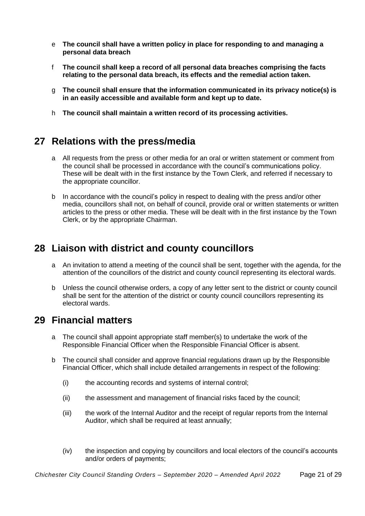- e **The council shall have a written policy in place for responding to and managing a personal data breach**
- f **The council shall keep a record of all personal data breaches comprising the facts relating to the personal data breach, its effects and the remedial action taken.**
- g **The council shall ensure that the information communicated in its privacy notice(s) is in an easily accessible and available form and kept up to date.**
- h **The council shall maintain a written record of its processing activities.**

#### <span id="page-20-0"></span>**27 Relations with the press/media**

- a All requests from the press or other media for an oral or written statement or comment from the council shall be processed in accordance with the council's communications policy. These will be dealt with in the first instance by the Town Clerk, and referred if necessary to the appropriate councillor.
- b In accordance with the council's policy in respect to dealing with the press and/or other media, councillors shall not, on behalf of council, provide oral or written statements or written articles to the press or other media. These will be dealt with in the first instance by the Town Clerk, or by the appropriate Chairman.

#### <span id="page-20-1"></span>**28 Liaison with district and county councillors**

- a An invitation to attend a meeting of the council shall be sent, together with the agenda, for the attention of the councillors of the district and county council representing its electoral wards.
- b Unless the council otherwise orders, a copy of any letter sent to the district or county council shall be sent for the attention of the district or county council councillors representing its electoral wards.

#### <span id="page-20-2"></span>**29 Financial matters**

- a The council shall appoint appropriate staff member(s) to undertake the work of the Responsible Financial Officer when the Responsible Financial Officer is absent.
- b The council shall consider and approve financial regulations drawn up by the Responsible Financial Officer, which shall include detailed arrangements in respect of the following:
	- (i) the accounting records and systems of internal control;
	- (ii) the assessment and management of financial risks faced by the council;
	- (iii) the work of the Internal Auditor and the receipt of regular reports from the Internal Auditor, which shall be required at least annually;
	- (iv) the inspection and copying by councillors and local electors of the council's accounts and/or orders of payments;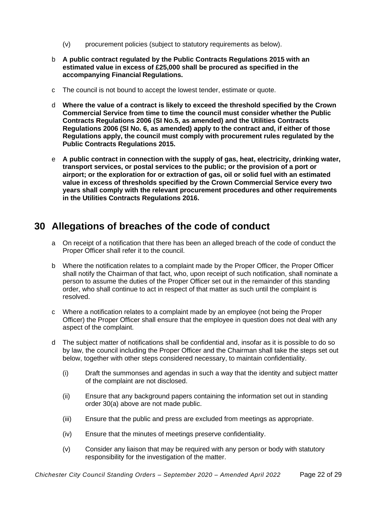- (v) procurement policies (subject to statutory requirements as below).
- b **A public contract regulated by the Public Contracts Regulations 2015 with an estimated value in excess of £25,000 shall be procured as specified in the accompanying Financial Regulations.**
- c The council is not bound to accept the lowest tender, estimate or quote.
- d **Where the value of a contract is likely to exceed the threshold specified by the Crown Commercial Service from time to time the council must consider whether the Public Contracts Regulations 2006 (SI No.5, as amended) and the Utilities Contracts Regulations 2006 (SI No. 6, as amended) apply to the contract and, if either of those Regulations apply, the council must comply with procurement rules regulated by the Public Contracts Regulations 2015.**
- e **A public contract in connection with the supply of gas, heat, electricity, drinking water, transport services, or postal services to the public; or the provision of a port or airport; or the exploration for or extraction of gas, oil or solid fuel with an estimated value in excess of thresholds specified by the Crown Commercial Service every two years shall comply with the relevant procurement procedures and other requirements in the Utilities Contracts Regulations 2016.**

#### <span id="page-21-0"></span>**30 Allegations of breaches of the code of conduct**

- a On receipt of a notification that there has been an alleged breach of the code of conduct the Proper Officer shall refer it to the council.
- b Where the notification relates to a complaint made by the Proper Officer, the Proper Officer shall notify the Chairman of that fact, who, upon receipt of such notification, shall nominate a person to assume the duties of the Proper Officer set out in the remainder of this standing order, who shall continue to act in respect of that matter as such until the complaint is resolved.
- c Where a notification relates to a complaint made by an employee (not being the Proper Officer) the Proper Officer shall ensure that the employee in question does not deal with any aspect of the complaint.
- d The subject matter of notifications shall be confidential and, insofar as it is possible to do so by law, the council including the Proper Officer and the Chairman shall take the steps set out below, together with other steps considered necessary, to maintain confidentiality.
	- (i) Draft the summonses and agendas in such a way that the identity and subject matter of the complaint are not disclosed.
	- (ii) Ensure that any background papers containing the information set out in standing order 30(a) above are not made public.
	- (iii) Ensure that the public and press are excluded from meetings as appropriate.
	- (iv) Ensure that the minutes of meetings preserve confidentiality.
	- (v) Consider any liaison that may be required with any person or body with statutory responsibility for the investigation of the matter.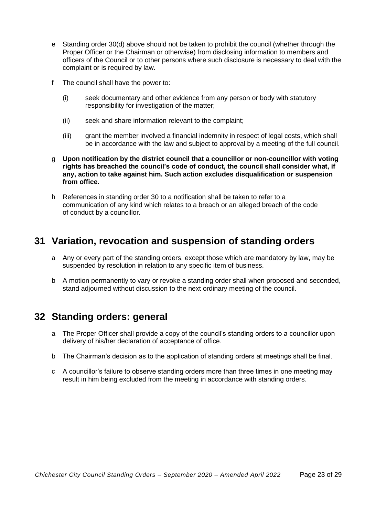- e Standing order 30(d) above should not be taken to prohibit the council (whether through the Proper Officer or the Chairman or otherwise) from disclosing information to members and officers of the Council or to other persons where such disclosure is necessary to deal with the complaint or is required by law.
- f The council shall have the power to:
	- (i) seek documentary and other evidence from any person or body with statutory responsibility for investigation of the matter;
	- (ii) seek and share information relevant to the complaint;
	- (iii) grant the member involved a financial indemnity in respect of legal costs, which shall be in accordance with the law and subject to approval by a meeting of the full council.
- g **Upon notification by the district council that a councillor or non-councillor with voting rights has breached the council's code of conduct, the council shall consider what, if any, action to take against him. Such action excludes disqualification or suspension from office.**
- h References in standing order 30 to a notification shall be taken to refer to a communication of any kind which relates to a breach or an alleged breach of the code of conduct by a councillor.

#### <span id="page-22-0"></span>**31 Variation, revocation and suspension of standing orders**

- a Any or every part of the standing orders, except those which are mandatory by law, may be suspended by resolution in relation to any specific item of business.
- b A motion permanently to vary or revoke a standing order shall when proposed and seconded, stand adjourned without discussion to the next ordinary meeting of the council.

#### <span id="page-22-1"></span>**32 Standing orders: general**

- a The Proper Officer shall provide a copy of the council's standing orders to a councillor upon delivery of his/her declaration of acceptance of office.
- b The Chairman's decision as to the application of standing orders at meetings shall be final.
- c A councillor's failure to observe standing orders more than three times in one meeting may result in him being excluded from the meeting in accordance with standing orders.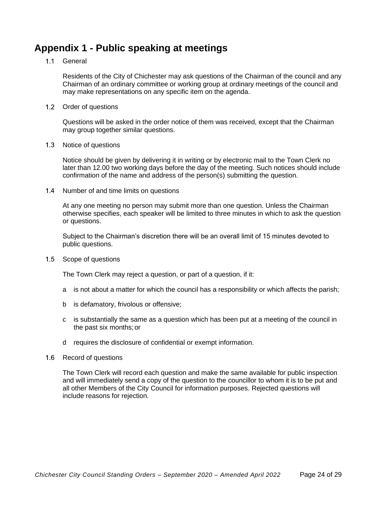#### <span id="page-23-0"></span>**Appendix 1 - Public speaking at meetings**

General  $1.1$ 

> Residents of the City of Chichester may ask questions of the Chairman of the council and any Chairman of an ordinary committee or working group at ordinary meetings of the council and may make representations on any specific item on the agenda.

1.2 Order of questions

Questions will be asked in the order notice of them was received, except that the Chairman may group together similar questions.

 $1.3$ Notice of questions

> Notice should be given by delivering it in writing or by electronic mail to the Town Clerk no later than 12.00 two working days before the day of the meeting. Such notices should include confirmation of the name and address of the person(s) submitting the question.

1.4 Number of and time limits on questions

At any one meeting no person may submit more than one question. Unless the Chairman otherwise specifies, each speaker will be limited to three minutes in which to ask the question or questions.

Subject to the Chairman's discretion there will be an overall limit of 15 minutes devoted to public questions.

1.5 Scope of questions

The Town Clerk may reject a question, or part of a question, if it:

- a is not about a matter for which the council has a responsibility or which affects the parish;
- b is defamatory, frivolous or offensive;
- c is substantially the same as a question which has been put at a meeting of the council in the past six months; or
- d requires the disclosure of confidential or exempt information.
- 1.6 Record of questions

The Town Clerk will record each question and make the same available for public inspection and will immediately send a copy of the question to the councillor to whom it is to be put and all other Members of the City Council for information purposes. Rejected questions will include reasons for rejection.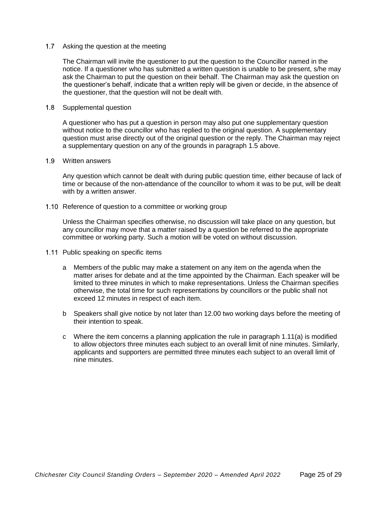#### $1.7$ Asking the question at the meeting

The Chairman will invite the questioner to put the question to the Councillor named in the notice. If a questioner who has submitted a written question is unable to be present, s/he may ask the Chairman to put the question on their behalf. The Chairman may ask the question on the questioner's behalf, indicate that a written reply will be given or decide, in the absence of the questioner, that the question will not be dealt with.

#### 1.8 Supplemental question

A questioner who has put a question in person may also put one supplementary question without notice to the councillor who has replied to the original question. A supplementary question must arise directly out of the original question or the reply. The Chairman may reject a supplementary question on any of the grounds in paragraph 1.5 above.

#### $1.9<sub>1</sub>$ Written answers

Any question which cannot be dealt with during public question time, either because of lack of time or because of the non-attendance of the councillor to whom it was to be put, will be dealt with by a written answer.

1.10 Reference of question to a committee or working group

Unless the Chairman specifies otherwise, no discussion will take place on any question, but any councillor may move that a matter raised by a question be referred to the appropriate committee or working party. Such a motion will be voted on without discussion.

- 1.11 Public speaking on specific items
	- a Members of the public may make a statement on any item on the agenda when the matter arises for debate and at the time appointed by the Chairman. Each speaker will be limited to three minutes in which to make representations. Unless the Chairman specifies otherwise, the total time for such representations by councillors or the public shall not exceed 12 minutes in respect of each item.
	- b Speakers shall give notice by not later than 12.00 two working days before the meeting of their intention to speak.
	- c Where the item concerns a planning application the rule in paragraph 1.11(a) is modified to allow objectors three minutes each subject to an overall limit of nine minutes. Similarly, applicants and supporters are permitted three minutes each subject to an overall limit of nine minutes.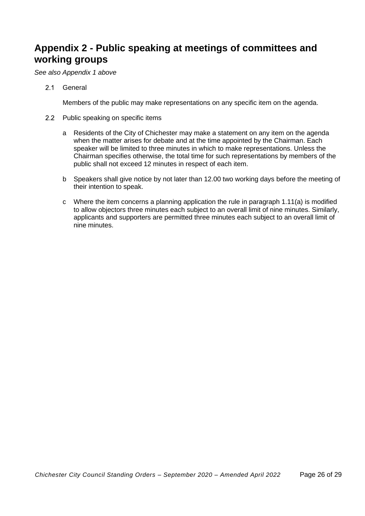#### <span id="page-25-0"></span>**Appendix 2 - Public speaking at meetings of committees and working groups**

*See also Appendix 1 above*

2.1 General

Members of the public may make representations on any specific item on the agenda.

- 2.2 Public speaking on specific items
	- a Residents of the City of Chichester may make a statement on any item on the agenda when the matter arises for debate and at the time appointed by the Chairman. Each speaker will be limited to three minutes in which to make representations. Unless the Chairman specifies otherwise, the total time for such representations by members of the public shall not exceed 12 minutes in respect of each item.
	- b Speakers shall give notice by not later than 12.00 two working days before the meeting of their intention to speak.
	- c Where the item concerns a planning application the rule in paragraph 1.11(a) is modified to allow objectors three minutes each subject to an overall limit of nine minutes. Similarly, applicants and supporters are permitted three minutes each subject to an overall limit of nine minutes.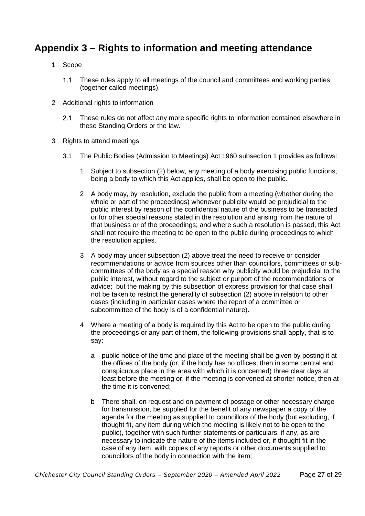#### <span id="page-26-1"></span><span id="page-26-0"></span>**Appendix 3 – Rights to information and meeting attendance**

- 1 Scope
	- $1.1$ These rules apply to all meetings of the council and committees and working parties (together called meetings).
- <span id="page-26-2"></span>2 Additional rights to information
	- $2.1$ These rules do not affect any more specific rights to information contained elsewhere in these Standing Orders or the law.
- <span id="page-26-3"></span>3 Rights to attend meetings
	- 3.1 The Public Bodies (Admission to Meetings) Act 1960 subsection 1 provides as follows:
		- 1 Subject to subsection (2) below, any meeting of a body exercising public functions, being a body to which this Act applies, shall be open to the public.
		- 2 A body may, by resolution, exclude the public from a meeting (whether during the whole or part of the proceedings) whenever publicity would be prejudicial to the public interest by reason of the confidential nature of the business to be transacted or for other special reasons stated in the resolution and arising from the nature of that business or of the proceedings; and where such a resolution is passed, this Act shall not require the meeting to be open to the public during proceedings to which the resolution applies.
		- 3 A body may under subsection (2) above treat the need to receive or consider recommendations or advice from sources other than councillors, committees or subcommittees of the body as a special reason why publicity would be prejudicial to the public interest, without regard to the subject or purport of the recommendations or advice; but the making by this subsection of express provision for that case shall not be taken to restrict the generality of subsection (2) above in relation to other cases (including in particular cases where the report of a committee or subcommittee of the body is of a confidential nature).
		- 4 Where a meeting of a body is required by this Act to be open to the public during the proceedings or any part of them, the following provisions shall apply, that is to say:
			- a public notice of the time and place of the meeting shall be given by posting it at the offices of the body (or, if the body has no offices, then in some central and conspicuous place in the area with which it is concerned) three clear days at least before the meeting or, if the meeting is convened at shorter notice, then at the time it is convened;
			- b There shall, on request and on payment of postage or other necessary charge for transmission, be supplied for the benefit of any newspaper a copy of the agenda for the meeting as supplied to councillors of the body (but excluding, if thought fit, any item during which the meeting is likely not to be open to the public), together with such further statements or particulars, if any, as are necessary to indicate the nature of the items included or, if thought fit in the case of any item, with copies of any reports or other documents supplied to councillors of the body in connection with the item;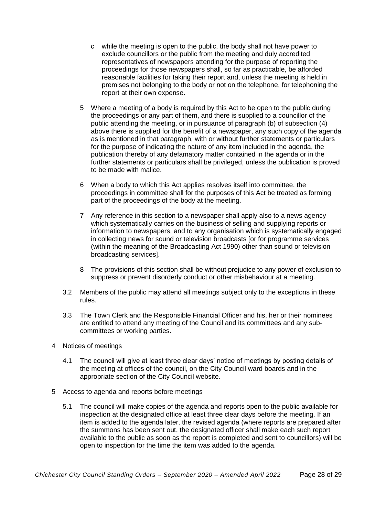- c while the meeting is open to the public, the body shall not have power to exclude councillors or the public from the meeting and duly accredited representatives of newspapers attending for the purpose of reporting the proceedings for those newspapers shall, so far as practicable, be afforded reasonable facilities for taking their report and, unless the meeting is held in premises not belonging to the body or not on the telephone, for telephoning the report at their own expense.
- 5 Where a meeting of a body is required by this Act to be open to the public during the proceedings or any part of them, and there is supplied to a councillor of the public attending the meeting, or in pursuance of paragraph (b) of subsection (4) above there is supplied for the benefit of a newspaper, any such copy of the agenda as is mentioned in that paragraph, with or without further statements or particulars for the purpose of indicating the nature of any item included in the agenda, the publication thereby of any defamatory matter contained in the agenda or in the further statements or particulars shall be privileged, unless the publication is proved to be made with malice.
- 6 When a body to which this Act applies resolves itself into committee, the proceedings in committee shall for the purposes of this Act be treated as forming part of the proceedings of the body at the meeting.
- 7 Any reference in this section to a newspaper shall apply also to a news agency which systematically carries on the business of selling and supplying reports or information to newspapers, and to any organisation which is systematically engaged in collecting news for sound or television broadcasts [or for programme services (within the meaning of the Broadcasting Act 1990) other than sound or television broadcasting services].
- 8 The provisions of this section shall be without prejudice to any power of exclusion to suppress or prevent disorderly conduct or other misbehaviour at a meeting.
- 3.2 Members of the public may attend all meetings subject only to the exceptions in these rules.
- 3.3 The Town Clerk and the Responsible Financial Officer and his, her or their nominees are entitled to attend any meeting of the Council and its committees and any subcommittees or working parties.
- <span id="page-27-0"></span>4 Notices of meetings
	- 4.1 The council will give at least three clear days' notice of meetings by posting details of the meeting at offices of the council, on the City Council ward boards and in the appropriate section of the City Council website.
- <span id="page-27-1"></span>5 Access to agenda and reports before meetings
	- 5.1 The council will make copies of the agenda and reports open to the public available for inspection at the designated office at least three clear days before the meeting. If an item is added to the agenda later, the revised agenda (where reports are prepared after the summons has been sent out, the designated officer shall make each such report available to the public as soon as the report is completed and sent to councillors) will be open to inspection for the time the item was added to the agenda.